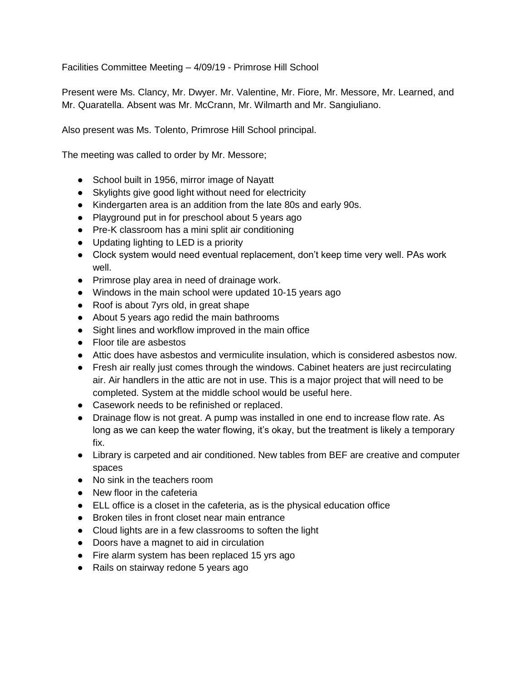Facilities Committee Meeting – 4/09/19 - Primrose Hill School

Present were Ms. Clancy, Mr. Dwyer. Mr. Valentine, Mr. Fiore, Mr. Messore, Mr. Learned, and Mr. Quaratella. Absent was Mr. McCrann, Mr. Wilmarth and Mr. Sangiuliano.

Also present was Ms. Tolento, Primrose Hill School principal.

The meeting was called to order by Mr. Messore;

- School built in 1956, mirror image of Nayatt
- Skylights give good light without need for electricity
- Kindergarten area is an addition from the late 80s and early 90s.
- Playground put in for preschool about 5 years ago
- Pre-K classroom has a mini split air conditioning
- Updating lighting to LED is a priority
- Clock system would need eventual replacement, don't keep time very well. PAs work well.
- Primrose play area in need of drainage work.
- Windows in the main school were updated 10-15 years ago
- Roof is about 7yrs old, in great shape
- About 5 years ago redid the main bathrooms
- Sight lines and workflow improved in the main office
- Floor tile are asbestos
- Attic does have asbestos and vermiculite insulation, which is considered asbestos now.
- Fresh air really just comes through the windows. Cabinet heaters are just recirculating air. Air handlers in the attic are not in use. This is a major project that will need to be completed. System at the middle school would be useful here.
- Casework needs to be refinished or replaced.
- Drainage flow is not great. A pump was installed in one end to increase flow rate. As long as we can keep the water flowing, it's okay, but the treatment is likely a temporary fix.
- Library is carpeted and air conditioned. New tables from BEF are creative and computer spaces
- No sink in the teachers room
- New floor in the cafeteria
- ELL office is a closet in the cafeteria, as is the physical education office
- Broken tiles in front closet near main entrance
- Cloud lights are in a few classrooms to soften the light
- Doors have a magnet to aid in circulation
- Fire alarm system has been replaced 15 yrs ago
- Rails on stairway redone 5 years ago